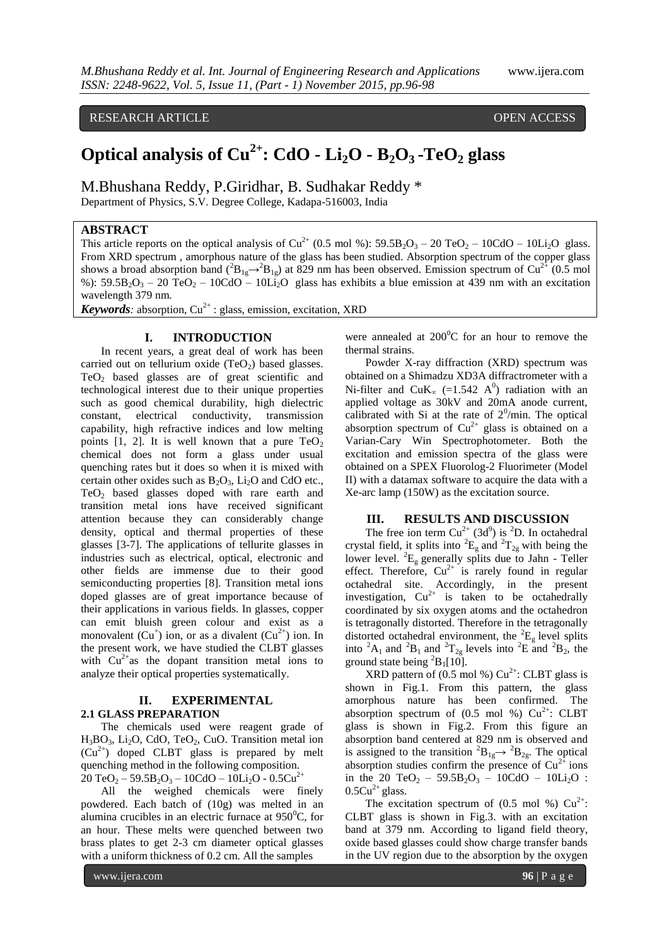RESEARCH ARTICLE **CONSERVERS** OPEN ACCESS

# **Optical analysis of Cu2+ : CdO - Li2O - B2O3 -TeO<sup>2</sup> glass**

M.Bhushana Reddy, P.Giridhar, B. Sudhakar Reddy \* Department of Physics, S.V. Degree College, Kadapa-516003, India

# **ABSTRACT**

This article reports on the optical analysis of  $Cu^{2+}$  (0.5 mol %):  $59.5B_2O_3 - 20 \text{ TeO}_2 - 10\text{CdO} - 10\text{Li}_2\text{O}$  glass. From XRD spectrum , amorphous nature of the glass has been studied. Absorption spectrum of the copper glass shows a broad absorption band  $(^{2}B_{1g} \rightarrow ^{2}B_{1g})$  at 829 nm has been observed. Emission spectrum of Cu<sup>2+</sup> (0.5 mol %):  $59.5B_2O_3 - 20TeO_2 - 10CdO - 10Li_2O$  glass has exhibits a blue emission at 439 nm with an excitation wavelength 379 nm.

*Keywords*: absorption,  $Cu^{2+}$ : glass, emission, excitation, XRD

# **I. INTRODUCTION**

In recent years, a great deal of work has been carried out on tellurium oxide  $(TeO<sub>2</sub>)$  based glasses. TeO<sup>2</sup> based glasses are of great scientific and technological interest due to their unique properties such as good chemical durability, high dielectric constant, electrical conductivity, transmission capability, high refractive indices and low melting points [1, 2]. It is well known that a pure  $TeO<sub>2</sub>$ chemical does not form a glass under usual quenching rates but it does so when it is mixed with certain other oxides such as  $B_2O_3$ , Li<sub>2</sub>O and CdO etc., TeO<sup>2</sup> based glasses doped with rare earth and transition metal ions have received significant attention because they can considerably change density, optical and thermal properties of these glasses [3-7]. The applications of tellurite glasses in industries such as electrical, optical, electronic and other fields are immense due to their good semiconducting properties [8]. Transition metal ions doped glasses are of great importance because of their applications in various fields. In glasses, copper can emit bluish green colour and exist as a monovalent  $(Cu^+)$  ion, or as a divalent  $(Cu^{2+})$  ion. In the present work, we have studied the CLBT glasses with  $Cu^{2+}$ as the dopant transition metal ions to analyze their optical properties systematically.

## **II. EXPERIMENTAL 2.1 GLASS PREPARATION**

The chemicals used were reagent grade of  $H_3BO_3$ , Li<sub>2</sub>O, CdO, TeO<sub>2</sub>, CuO. Transition metal ion  $(Cu^{2+})$  doped CLBT glass is prepared by melt quenching method in the following composition.  $20 \text{ TeO}_2 - 59.5 \text{B}_2\text{O}_3 - 10 \text{CdO} - 10 \text{Li}_2\text{O} - 0.5 \text{Cu}^2$ 

All the weighed chemicals were finely powdered. Each batch of (10g) was melted in an alumina crucibles in an electric furnace at  $950^{\circ}$ C, for an hour. These melts were quenched between two brass plates to get 2-3 cm diameter optical glasses with a uniform thickness of 0.2 cm. All the samples

were annealed at  $200^{\circ}$ C for an hour to remove the thermal strains.

Powder X-ray diffraction (XRD) spectrum was obtained on a Shimadzu XD3A diffractrometer with a Ni-filter and  $CuK_{\alpha}$  (=1.542 A<sup>0</sup>) radiation with an applied voltage as 30kV and 20mA anode current, calibrated with Si at the rate of  $2^0$ /min. The optical absorption spectrum of  $Cu^{2+}$  glass is obtained on a Varian-Cary Win Spectrophotometer. Both the excitation and emission spectra of the glass were obtained on a SPEX Fluorolog-2 Fluorimeter (Model II) with a datamax software to acquire the data with a Xe-arc lamp (150W) as the excitation source.

#### **III. RESULTS AND DISCUSSION**

The free ion term  $Cu^{2+}$  (3d<sup>9</sup>) is <sup>2</sup>D. In octahedral crystal field, it splits into  ${}^2E_g$  and  ${}^2T_{2g}$  with being the lower level.  ${}^{2}E_{g}$  generally splits due to Jahn - Teller effect. Therefore,  $Cu^{2+}$  is rarely found in regular octahedral site. Accordingly, in the present investigation,  $Cu^{2+}$  is taken to be octahedrally coordinated by six oxygen atoms and the octahedron is tetragonally distorted. Therefore in the tetragonally distorted octahedral environment, the  ${}^{2}E_{g}$  level splits into  ${}^2A_1$  and  ${}^2B_1$  and  ${}^2T_{2g}$  levels into  ${}^2E$  and  ${}^2B_2$ , the ground state being  ${}^{2}B_{1}[10]$ .

XRD pattern of  $(0.5 \text{ mol } \%)$  Cu<sup>2+</sup>: CLBT glass is shown in Fig.1. From this pattern, the glass amorphous nature has been confirmed. The absorption spectrum of  $(0.5 \text{ mol } \%)$  Cu<sup>2+</sup>: CLBT glass is shown in Fig.2. From this figure an absorption band centered at 829 nm is observed and is assigned to the transition  ${}^{2}B_{1g} \rightarrow {}^{2}B_{2g}$ . The optical absorption studies confirm the presence of  $Cu^{2+}$  ions in the 20 TeO<sub>2</sub> – 59.5B<sub>2</sub>O<sub>3</sub> – 10CdO – 10Li<sub>2</sub>O :  $0.5Cu<sup>2+</sup>$  glass.

The excitation spectrum of  $(0.5 \text{ mol } \%) \text{ Cu}^{2+}$ : CLBT glass is shown in Fig.3. with an excitation band at 379 nm. According to ligand field theory, oxide based glasses could show charge transfer bands in the UV region due to the absorption by the oxygen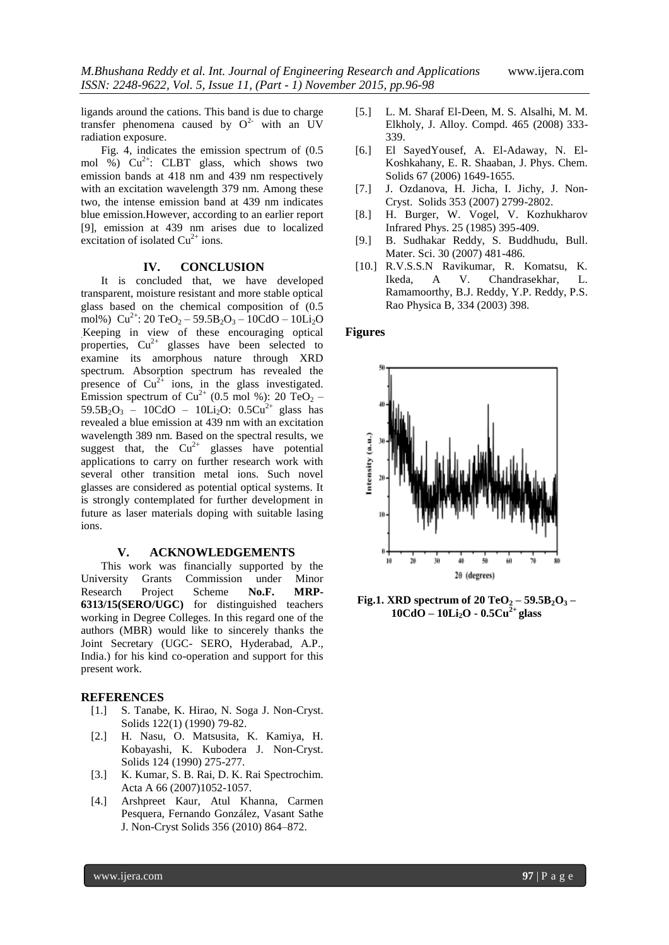ligands around the cations. This band is due to charge transfer phenomena caused by  $Q^2$  with an UV radiation exposure.

Fig. 4, indicates the emission spectrum of (0.5 mol  $\frac{6}{9}$  Cu<sup>2+</sup>: CLBT glass, which shows two emission bands at 418 nm and 439 nm respectively with an excitation wavelength 379 nm. Among these two, the intense emission band at 439 nm indicates blue emission.However, according to an earlier report [9], emission at 439 nm arises due to localized excitation of isolated  $Cu^{2+}$  ions.

#### **IV. CONCLUSION**

It is concluded that, we have developed transparent, moisture resistant and more stable optical glass based on the chemical composition of (0.5 mol%)  $Cu^{2+}$ : 20 TeO<sub>2</sub> – 59.5B<sub>2</sub>O<sub>3</sub> – 10CdO – 10Li<sub>2</sub>O .Keeping in view of these encouraging optical properties,  $Cu^{2+}$  glasses have been selected to examine its amorphous nature through XRD spectrum. Absorption spectrum has revealed the presence of  $Cu^{2+}$  ions, in the glass investigated. Emission spectrum of Cu<sup>2+</sup> (0.5 mol %): 20 TeO<sub>2</sub> –  $59.5B_2O_3 - 10CdO - 10Li_2O$ :  $0.5Cu^{2+}$  glass has revealed a blue emission at 439 nm with an excitation wavelength 389 nm. Based on the spectral results, we suggest that, the  $Cu^{2+}$  glasses have potential applications to carry on further research work with several other transition metal ions. Such novel glasses are considered as potential optical systems. It is strongly contemplated for further development in future as laser materials doping with suitable lasing ions.

# **V. ACKNOWLEDGEMENTS**

This work was financially supported by the University Grants Commission under Minor Research Project Scheme **No.F. MRP-6313/15(SERO/UGC)** for distinguished teachers working in Degree Colleges. In this regard one of the authors (MBR) would like to sincerely thanks the Joint Secretary (UGC- SERO, Hyderabad, A.P., India.) for his kind co-operation and support for this present work.

# **REFERENCES**

- [1.] S. Tanabe, K. Hirao, N. Soga J. Non-Cryst. Solids 122(1) (1990) 79-82.
- [2.] H. Nasu, O. Matsusita, K. Kamiya, H. Kobayashi, K. Kubodera J. Non-Cryst. Solids 124 (1990) 275-277.
- [3.] K. Kumar, S. B. Rai, D. K. Rai Spectrochim. Acta A 66 (2007)1052-1057.
- [4.] Arshpreet Kaur, Atul Khanna, Carmen Pesquera, Fernando González, Vasant Sathe J. Non-Cryst Solids 356 (2010) 864–872.
- [5.] L. M. Sharaf El-Deen, M. S. Alsalhi, M. M. Elkholy, J. Alloy. Compd. 465 (2008) 333- 339.
- [6.] El SayedYousef, A. El-Adaway, N. El-Koshkahany, E. R. Shaaban, J. Phys. Chem. Solids 67 (2006) 1649-1655.
- [7.] J. Ozdanova, H. Jicha, I. Jichy, J. Non-Cryst. Solids 353 (2007) 2799-2802.
- [8.] H. Burger, W. Vogel, V. Kozhukharov Infrared Phys. 25 (1985) 395-409.
- [9.] B. Sudhakar Reddy, S. Buddhudu, Bull. Mater. Sci. 30 (2007) 481-486.
- [10.] R.V.S.S.N Ravikumar, R. Komatsu, K. Ikeda, A V. Chandrasekhar, L. Ramamoorthy, B.J. Reddy, Y.P. Reddy, P.S. Rao Physica B, 334 (2003) 398.

## **Figures**



**Fig.1. XRD spectrum of 20 TeO<sup>2</sup> – 59.5B2O<sup>3</sup> – 10CdO – 10Li2O - 0.5Cu2+ glass**